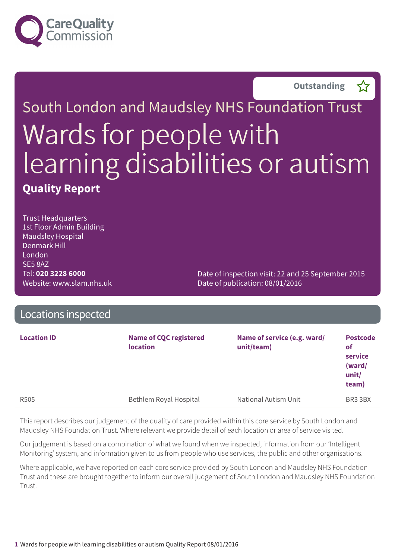

**Outstanding –**



Trust Headquarters 1st Floor Admin Building Maudsley Hospital Denmark Hill London SE5 8AZ Tel: **020 3228 6000** Website: www.slam.nhs.uk

Date of inspection visit: 22 and 25 September 2015 Date of publication: 08/01/2016

| Locations inspected |                                                  |                                           |                                                              |
|---------------------|--------------------------------------------------|-------------------------------------------|--------------------------------------------------------------|
| <b>Location ID</b>  | <b>Name of CQC registered</b><br><b>location</b> | Name of service (e.g. ward/<br>unit/team) | <b>Postcode</b><br>of<br>service<br>(ward/<br>unit/<br>team) |
| R <sub>505</sub>    | Bethlem Royal Hospital                           | National Autism Unit                      | BR3 3BX                                                      |

This report describes our judgement of the quality of care provided within this core service by South London and Maudsley NHS Foundation Trust. Where relevant we provide detail of each location or area of service visited.

Our judgement is based on a combination of what we found when we inspected, information from our 'Intelligent Monitoring' system, and information given to us from people who use services, the public and other organisations.

Where applicable, we have reported on each core service provided by South London and Maudsley NHS Foundation Trust and these are brought together to inform our overall judgement of South London and Maudsley NHS Foundation Trust.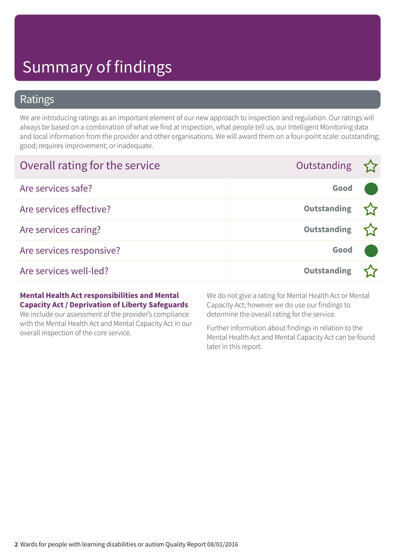### Ratings

We are introducing ratings as an important element of our new approach to inspection and regulation. Our ratings will always be based on a combination of what we find at inspection, what people tell us, our Intelligent Monitoring data and local information from the provider and other organisations. We will award them on a four-point scale: outstanding; good; requires improvement; or inadequate.

| Overall rating for the service | Outstanding $\sum$ |  |
|--------------------------------|--------------------|--|
| Are services safe?             | Good               |  |
| Are services effective?        | <b>Outstanding</b> |  |
| Are services caring?           | <b>Outstanding</b> |  |
| Are services responsive?       | Good               |  |
| Are services well-led?         | <b>Outstanding</b> |  |

#### **Mental Health Act responsibilities and Mental Capacity Act / Deprivation of Liberty Safeguards**

We include our assessment of the provider's compliance with the Mental Health Act and Mental Capacity Act in our overall inspection of the core service.

We do not give a rating for Mental Health Act or Mental Capacity Act; however we do use our findings to determine the overall rating for the service.

Further information about findings in relation to the Mental Health Act and Mental Capacity Act can be found later in this report.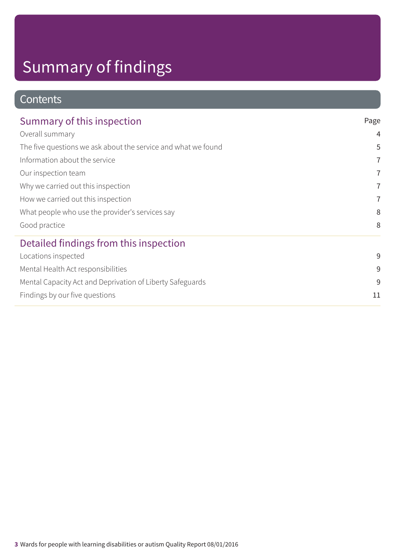### **Contents**

| Summary of this inspection                                    | Page                                  |
|---------------------------------------------------------------|---------------------------------------|
| Overall summary                                               | $\overline{4}$                        |
| The five questions we ask about the service and what we found | 5                                     |
| Information about the service                                 | $\overline{7}$<br>7<br>$\overline{7}$ |
| Our inspection team                                           |                                       |
| Why we carried out this inspection                            |                                       |
| How we carried out this inspection                            | 7                                     |
| What people who use the provider's services say               | 8                                     |
| Good practice                                                 | 8                                     |
| Detailed findings from this inspection                        |                                       |
| Locations inspected                                           | 9                                     |
| Mental Health Act responsibilities                            | 9                                     |
| Mental Capacity Act and Deprivation of Liberty Safeguards     | 9                                     |
| Findings by our five questions                                | 11                                    |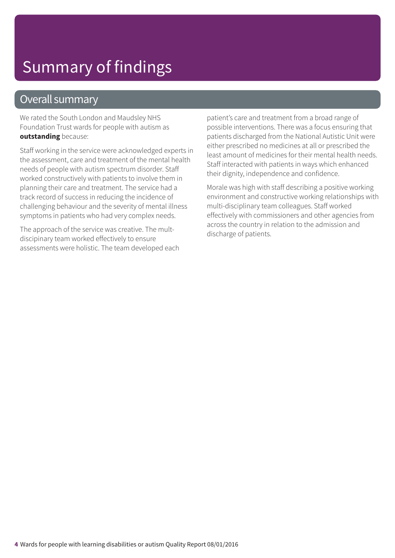### Overall summary

We rated the South London and Maudsley NHS Foundation Trust wards for people with autism as **outstanding** because:

Staff working in the service were acknowledged experts in the assessment, care and treatment of the mental health needs of people with autism spectrum disorder. Staff worked constructively with patients to involve them in planning their care and treatment. The service had a track record of success in reducing the incidence of challenging behaviour and the severity of mental illness symptoms in patients who had very complex needs.

The approach of the service was creative. The multdiscipinary team worked effectively to ensure assessments were holistic. The team developed each patient's care and treatment from a broad range of possible interventions. There was a focus ensuring that patients discharged from the National Autistic Unit were either prescribed no medicines at all or prescribed the least amount of medicines for their mental health needs. Staff interacted with patients in ways which enhanced their dignity, independence and confidence.

Morale was high with staff describing a positive working environment and constructive working relationships with multi-disciplinary team colleagues. Staff worked effectively with commissioners and other agencies from across the country in relation to the admission and discharge of patients.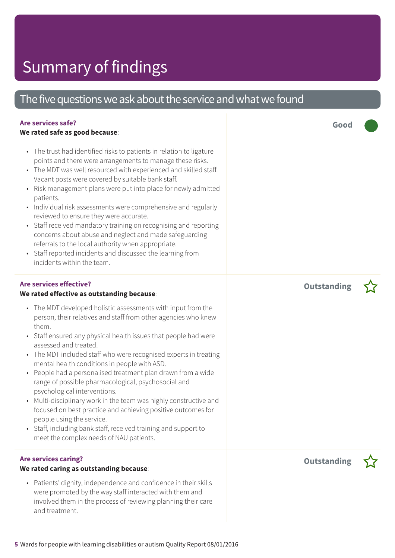### The five questions we ask about the service and what we found

#### **Are services safe?**

#### **We rated safe as good because**:

- The trust had identified risks to patients in relation to ligature points and there were arrangements to manage these risks.
- The MDT was well resourced with experienced and skilled staff. Vacant posts were covered by suitable bank staff.
- Risk management plans were put into place for newly admitted patients.
- Individual risk assessments were comprehensive and regularly reviewed to ensure they were accurate.
- Staff received mandatory training on recognising and reporting concerns about abuse and neglect and made safeguarding referrals to the local authority when appropriate.
- Staff reported incidents and discussed the learning from incidents within the team.

#### **Are services effective?**

#### **We rated effective as outstanding because**:

- The MDT developed holistic assessments with input from the person, their relatives and staff from other agencies who knew them.
- Staff ensured any physical health issues that people had were assessed and treated.
- The MDT included staff who were recognised experts in treating mental health conditions in people with ASD.
- People had a personalised treatment plan drawn from a wide range of possible pharmacological, psychosocial and psychological interventions.
- Multi-disciplinary work in the team was highly constructive and focused on best practice and achieving positive outcomes for people using the service.
- Staff, including bank staff, received training and support to meet the complex needs of NAU patients.

#### **Are services caring?**

#### **We rated caring as outstanding because**:

• Patients' dignity, independence and confidence in their skills were promoted by the way staff interacted with them and involved them in the process of reviewing planning their care and treatment.

**Outstanding –**

**Good –––**



**Outstanding –**

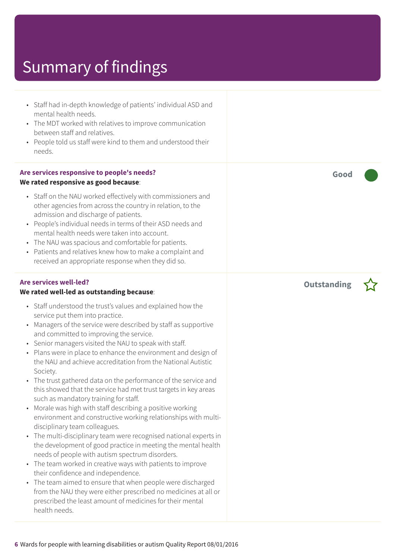- Staff had in-depth knowledge of patients' individual ASD and mental health needs.
- The MDT worked with relatives to improve communication between staff and relatives.
- People told us staff were kind to them and understood their needs.

#### **Are services responsive to people's needs? We rated responsive as good because**:

- Staff on the NAU worked effectively with commissioners and other agencies from across the country in relation, to the admission and discharge of patients.
- People's individual needs in terms of their ASD needs and mental health needs were taken into account.
- The NAU was spacious and comfortable for patients.
- Patients and relatives knew how to make a complaint and received an appropriate response when they did so.

#### **Are services well-led?**

#### **We rated well-led as outstanding because**:

- Staff understood the trust's values and explained how the service put them into practice.
- Managers of the service were described by staff as supportive and committed to improving the service.
- Senior managers visited the NAU to speak with staff.
- Plans were in place to enhance the environment and design of the NAU and achieve accreditation from the National Autistic Society.
- The trust gathered data on the performance of the service and this showed that the service had met trust targets in key areas such as mandatory training for staff.
- Morale was high with staff describing a positive working environment and constructive working relationships with multidisciplinary team colleagues.
- The multi-disciplinary team were recognised national experts in the development of good practice in meeting the mental health needs of people with autism spectrum disorders.
- The team worked in creative ways with patients to improve their confidence and independence.
- The team aimed to ensure that when people were discharged from the NAU they were either prescribed no medicines at all or prescribed the least amount of medicines for their mental health needs.

**Good –––**

**Outstanding –**

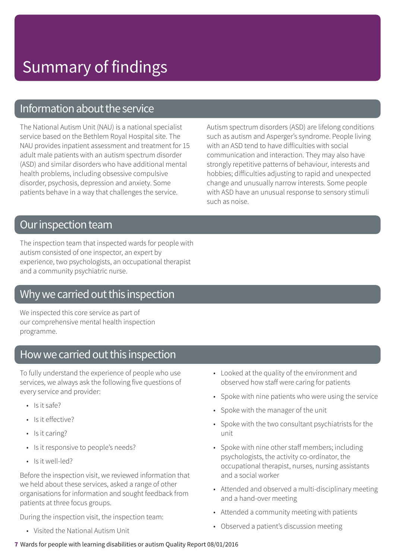### Information about the service

The National Autism Unit (NAU) is a national specialist service based on the Bethlem Royal Hospital site. The NAU provides inpatient assessment and treatment for 15 adult male patients with an autism spectrum disorder (ASD) and similar disorders who have additional mental health problems, including obsessive compulsive disorder, psychosis, depression and anxiety. Some patients behave in a way that challenges the service.

Autism spectrum disorders (ASD) are lifelong conditions such as autism and Asperger's syndrome. People living with an ASD tend to have difficulties with social communication and interaction. They may also have strongly repetitive patterns of behaviour, interests and hobbies; difficulties adjusting to rapid and unexpected change and unusually narrow interests. Some people with ASD have an unusual response to sensory stimuli such as noise.

### Our inspection team

The inspection team that inspected wards for people with autism consisted of one inspector, an expert by experience, two psychologists, an occupational therapist and a community psychiatric nurse.

### Why we carried out this inspection

We inspected this core service as part of our comprehensive mental health inspection programme.

### How we carried out this inspection

To fully understand the experience of people who use services, we always ask the following five questions of every service and provider:

- Is it safe?
- Is it effective?
- Is it caring?
- Is it responsive to people's needs?
- Is it well-led?

Before the inspection visit, we reviewed information that we held about these services, asked a range of other organisations for information and sought feedback from patients at three focus groups.

During the inspection visit, the inspection team:

• Visited the National Autism Unit

- Looked at the quality of the environment and observed how staff were caring for patients
- Spoke with nine patients who were using the service
- Spoke with the manager of the unit
- Spoke with the two consultant psychiatrists for the unit
- Spoke with nine other staff members; including psychologists, the activity co-ordinator, the occupational therapist, nurses, nursing assistants and a social worker
- Attended and observed a multi-disciplinary meeting and a hand-over meeting
- Attended a community meeting with patients
- Observed a patient's discussion meeting

#### **7** Wards for people with learning disabilities or autism Quality Report 08/01/2016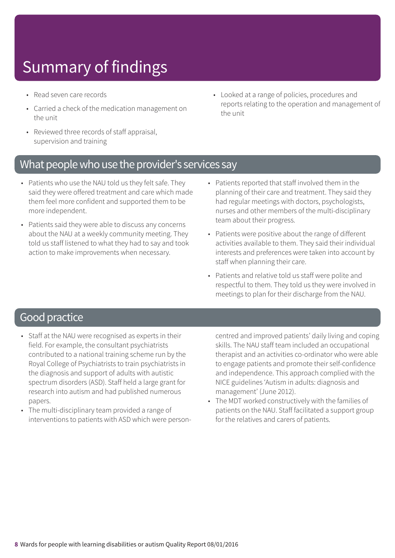- Read seven care records
- Carried a check of the medication management on the unit
- Reviewed three records of staff appraisal, supervision and training
- Looked at a range of policies, procedures and reports relating to the operation and management of the unit

### What people who use the provider's services say

- Patients who use the NAU told us they felt safe. They said they were offered treatment and care which made them feel more confident and supported them to be more independent.
- Patients said they were able to discuss any concerns about the NAU at a weekly community meeting. They told us staff listened to what they had to say and took action to make improvements when necessary.
- Patients reported that staff involved them in the planning of their care and treatment. They said they had regular meetings with doctors, psychologists, nurses and other members of the multi-disciplinary team about their progress.
- Patients were positive about the range of different activities available to them. They said their individual interests and preferences were taken into account by staff when planning their care.
- Patients and relative told us staff were polite and respectful to them. They told us they were involved in meetings to plan for their discharge from the NAU.

### Good practice

- Staff at the NAU were recognised as experts in their field. For example, the consultant psychiatrists contributed to a national training scheme run by the Royal College of Psychiatrists to train psychiatrists in the diagnosis and support of adults with autistic spectrum disorders (ASD). Staff held a large grant for research into autism and had published numerous papers.
- The multi-disciplinary team provided a range of interventions to patients with ASD which were person-

centred and improved patients' daily living and coping skills. The NAU staff team included an occupational therapist and an activities co-ordinator who were able to engage patients and promote their self-confidence and independence. This approach complied with the NICE guidelines 'Autism in adults: diagnosis and management' (June 2012).

The MDT worked constructively with the families of patients on the NAU. Staff facilitated a support group for the relatives and carers of patients.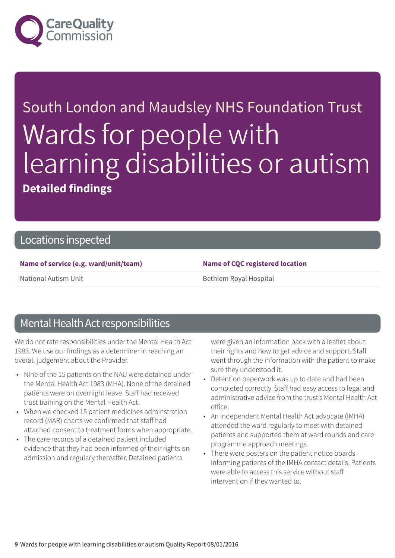

# South London and Maudsley NHS Foundation Trust Wards for people with learning disabilities or autism **Detailed findings**

### Locations inspected

#### **Name of service (e.g. ward/unit/team) Name of CQC registered location**

National Autism Unit **Bethlem Royal Hospital** 

### Mental Health Act responsibilities

We do not rate responsibilities under the Mental Health Act 1983. We use our findings as a determiner in reaching an overall judgement about the Provider.

- Nine of the 15 patients on the NAU were detained under the Mental Health Act 1983 (MHA). None of the detained patients were on overnight leave. Staff had received trust training on the Mental Health Act.
- When we checked 15 patient medicines adminstration record (MAR) charts we confirmed that staff had attached consent to treatment forms when appropriate.
- The care records of a detained patient included evidence that they had been informed of their rights on admission and regulary thereafter. Detained patients

were given an information pack with a leaflet about their rights and how to get advice and support. Staff went through the information with the patient to make sure they understood it.

- Detention paperwork was up to date and had been completed correctly. Staff had easy access to legal and administrative advice from the trust's Mental Health Act office.
- An independent Mental Health Act advocate (IMHA) attended the ward regularly to meet with detained patients and supported them at ward rounds and care programme approach meetings.
- There were posters on the patient notice boards informing patients of the IMHA contact details. Patients were able to access this service without staff intervention if they wanted to.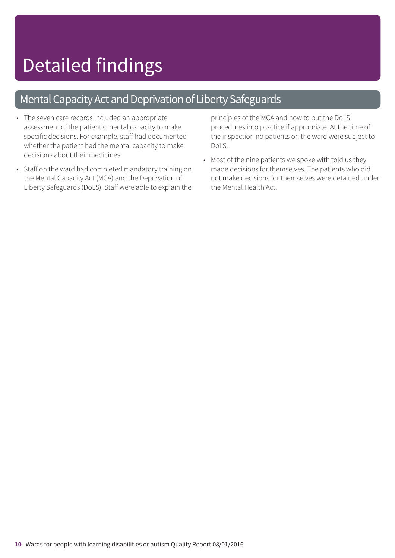### Mental Capacity Act and Deprivation of Liberty Safeguards

- The seven care records included an appropriate assessment of the patient's mental capacity to make specific decisions. For example, staff had documented whether the patient had the mental capacity to make decisions about their medicines.
- Staff on the ward had completed mandatory training on the Mental Capacity Act (MCA) and the Deprivation of Liberty Safeguards (DoLS). Staff were able to explain the

principles of the MCA and how to put the DoLS procedures into practice if appropriate. At the time of the inspection no patients on the ward were subject to DoLS.

• Most of the nine patients we spoke with told us they made decisions for themselves. The patients who did not make decisions for themselves were detained under the Mental Health Act.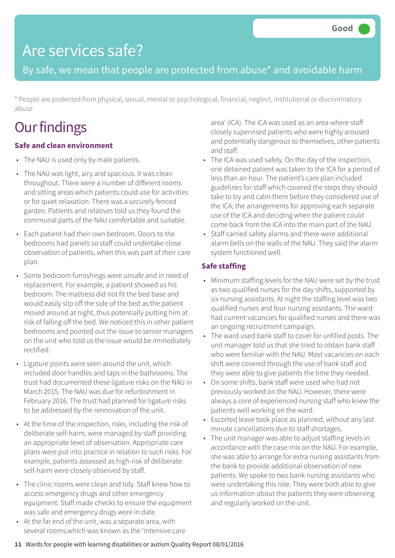### Are services safe?

By safe, we mean that people are protected from abuse\* and avoidable harm

\* People are protected from physical, sexual, mental or psychological, financial, neglect, institutional or discriminatory abuse

## **Our findings**

#### **Safe and clean environment**

- The NAU is used only by male patients.
- The NAU was light, airy and spacious. It was clean throughout. There were a number of different rooms and sitting areas which patients could use for activities or for quiet relaxation. There was a securely fenced garden. Patients and relatives told us they found the communal parts of the NAU comfortable and suitable.
- Each patient had their own bedroom. Doors to the bedrooms had panels so staff could undertake close observation of patients, when this was part of their care plan.
- Some bedroom furnishings were unsafe and in need of replacement. For example, a patient showed us his bedroom. The mattress did not fit the bed base and would easily slip off the side of the bed as the patient moved around at night, thus potentially putting him at risk of falling off the bed. We noticed this in other patient bedrooms and pointed out the issue to senior managers on the unit who told us the issue would be immediately rectified.
- Ligature points were seen around the unit, which included door handles and taps in the bathrooms. The trust had documented these ligature risks on the NAU in March 2015. The NAU was due for refurbishment in February 2016. The trust had planned for ligature risks to be addressed by the rennovation of the unit.
- At the time of the inspection, risks, including the risk of deliberate self-harm, were managed by staff providing an appropriate level of observation. Appropriate care plans were put into practice in relation to such risks. For example, patients assessed as high-risk of deliberate self-harm were closely observed by staff.
- The clinic rooms were clean and tidy. Staff knew how to access emergency drugs and other emergency equipment. Staff made checks to ensure the equipment was safe and emergency drugs were in date.
- At the far end of the unit, was a separate area, with several rooms,which was known as the 'intensive care

area' (ICA). The ICA was used as an area where staff closely supervised patients who were highly aroused and potentially dangerous to themselves, other patients and staff.

- The ICA was used safely. On the day of the inspection, one detained patient was taken to the ICA for a period of less than an hour. The patient's care plan included guidelines for staff which covered the steps they should take to try and calm them before they considered use of the ICA; the arrangements for approving each separate use of the ICA and deciding when the patient could come back from the ICA into the main part of the NAU.
- Staff carried safety alarms and there were additional alarm bells on the walls of the NAU. They said the alarm system functioned well.

#### **Safe staffing**

- Minimum staffing levels for the NAU were set by the trust as two qualified nurses for the day shifts, supported by six nursing assistants. At night the staffing level was two qualified nurses and four nursing assistants. The ward had current vacancies for qualified nurses and there was an ongoing recruitment campaign.
- The ward used bank staff to cover for unfilled posts. The unit manager told us that she tried to obtain bank staff who were familiar with the NAU. Most vacancies on each shift were covered through the use of bank staff and they were able to give patients the time they needed.
- On some shifts, bank staff were used who had not previously worked on the NAU. However, there were always a core of experienced nursing staff who knew the patients well working on the ward.
- Escorted leave took place as planned, without any last minute cancellations due to staff shortages.
- The unit manager was able to adjust staffing levels in accordance with the case-mix on the NAU. For example, she was able to arrange for extra nursing assistants from the bank to provide additional observation of new patients. We spoke to two bank nursing assistants who were undertaking this role. They were both able to give us information about the patients they were observing and regularly worked on the unit.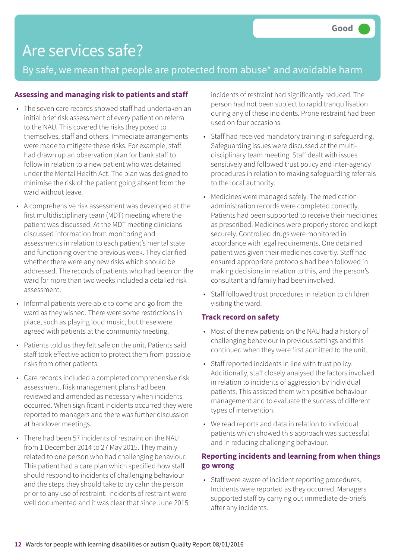## Are services safe?

By safe, we mean that people are protected from abuse\* and avoidable harm

#### **Assessing and managing risk to patients and staff**

- The seven care records showed staff had undertaken an initial brief risk assessment of every patient on referral to the NAU. This covered the risks they posed to themselves, staff and others. Immediate arrangements were made to mitigate these risks. For example, staff had drawn up an observation plan for bank staff to follow in relation to a new patient who was detained under the Mental Health Act. The plan was designed to minimise the risk of the patient going absent from the ward without leave.
- A comprehensive risk assessment was developed at the first multidisciplinary team (MDT) meeting where the patient was discussed. At the MDT meeting clinicians discussed information from monitoring and assessments in relation to each patient's mental state and functioning over the previous week. They clarified whether there were any new risks which should be addressed. The records of patients who had been on the ward for more than two weeks included a detailed risk assessment.
- Informal patients were able to come and go from the ward as they wished. There were some restrictions in place, such as playing loud music, but these were agreed with patients at the community meeting.
- Patients told us they felt safe on the unit. Patients said staff took effective action to protect them from possible risks from other patients.
- Care records included a completed comprehensive risk assessment. Risk management plans had been reviewed and amended as necessary when incidents occurred. When significant incidents occurred they were reported to managers and there was further discussion at handover meetings.
- There had been 57 incidents of restraint on the NAU from 1 December 2014 to 27 May 2015. They mainly related to one person who had challenging behaviour. This patient had a care plan which specified how staff should respond to incidents of challenging behaviour and the steps they should take to try calm the person prior to any use of restraint. Incidents of restraint were well documented and it was clear that since June 2015

incidents of restraint had significantly reduced. The person had not been subject to rapid tranquilisation during any of these incidents. Prone restraint had been used on four occasions.

- Staff had received mandatory training in safeguarding. Safeguarding issues were discussed at the multidisciplinary team meeting. Staff dealt with issues sensitively and followed trust policy and inter-agency procedures in relation to making safeguarding referrals to the local authority.
- Medicines were managed safely. The medication administration records were completed correctly. Patients had been supported to receive their medicines as prescribed. Medicines were properly stored and kept securely. Controlled drugs were monitored in accordance with legal requirements. One detained patient was given their medicines covertly. Staff had ensured appropriate protocols had been followed in making decisions in relation to this, and the person's consultant and family had been involved.
- Staff followed trust procedures in relation to children visiting the ward.

#### **Track record on safety**

- Most of the new patients on the NAU had a history of challenging behaviour in previous settings and this continued when they were first admitted to the unit.
- Staff reported incidents in line with trust policy. Additionally, staff closely analysed the factors involved in relation to incidents of aggression by individual patients. This assisted them with positive behaviour management and to evaluate the success of different types of intervention.
- We read reports and data in relation to individual patients which showed this approach was successful and in reducing challenging behaviour.

#### **Reporting incidents and learning from when things go wrong**

• Staff were aware of incident reporting procedures. Incidents were reported as they occurred. Managers supported staff by carrying out immediate de-briefs after any incidents.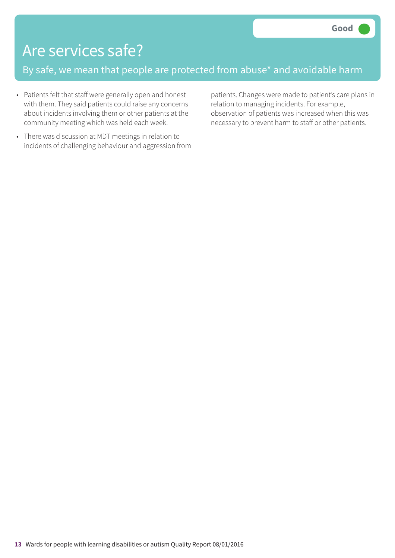### Are services safe?

By safe, we mean that people are protected from abuse\* and avoidable harm

- Patients felt that staff were generally open and honest with them. They said patients could raise any concerns about incidents involving them or other patients at the community meeting which was held each week.
- There was discussion at MDT meetings in relation to incidents of challenging behaviour and aggression from

patients. Changes were made to patient's care plans in relation to managing incidents. For example, observation of patients was increased when this was necessary to prevent harm to staff or other patients.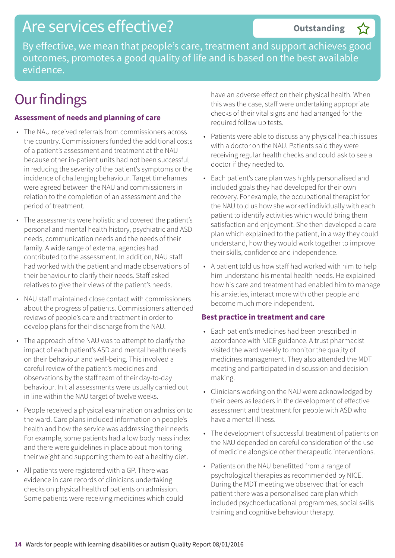### Are services effective?

By effective, we mean that people's care, treatment and support achieves good outcomes, promotes a good quality of life and is based on the best available evidence.

## **Our findings**

#### **Assessment of needs and planning of care**

- The NAU received referrals from commissioners across the country. Commissioners funded the additional costs of a patient's assessment and treatment at the NAU because other in-patient units had not been successful in reducing the severity of the patient's symptoms or the incidence of challenging behaviour. Target timeframes were agreed between the NAU and commissioners in relation to the completion of an assessment and the period of treatment.
- The assessments were holistic and covered the patient's personal and mental health history, psychiatric and ASD needs, communication needs and the needs of their family. A wide range of external agencies had contributed to the assessment. In addition, NAU staff had worked with the patient and made observations of their behaviour to clarify their needs. Staff asked relatives to give their views of the patient's needs.
- NAU staff maintained close contact with commissioners about the progress of patients. Commissioners attended reviews of people's care and treatment in order to develop plans for their discharge from the NAU.
- The approach of the NAU was to attempt to clarify the impact of each patient's ASD and mental health needs on their behaviour and well-being. This involved a careful review of the patient's medicines and observations by the staff team of their day-to-day behaviour. Initial assessments were usually carried out in line within the NAU target of twelve weeks.
- People received a physical examination on admission to the ward. Care plans included information on people's health and how the service was addressing their needs. For example, some patients had a low body mass index and there were guidelines in place about monitoring their weight and supporting them to eat a healthy diet.
- All patients were registered with a GP. There was evidence in care records of clinicians undertaking checks on physical health of patients on admission. Some patients were receiving medicines which could

have an adverse effect on their physical health. When this was the case, staff were undertaking appropriate checks of their vital signs and had arranged for the required follow up tests.

- Patients were able to discuss any physical health issues with a doctor on the NAU. Patients said they were receiving regular health checks and could ask to see a doctor if they needed to.
- Each patient's care plan was highly personalised and included goals they had developed for their own recovery. For example, the occupational therapist for the NAU told us how she worked individually with each patient to identify activities which would bring them satisfaction and enjoyment. She then developed a care plan which explained to the patient, in a way they could understand, how they would work together to improve their skills, confidence and independence.
- A patient told us how staff had worked with him to help him understand his mental health needs. He explained how his care and treatment had enabled him to manage his anxieties, interact more with other people and become much more independent.

#### **Best practice in treatment and care**

- Each patient's medicines had been prescribed in accordance with NICE guidance. A trust pharmacist visited the ward weekly to monitor the quality of medicines management. They also attended the MDT meeting and participated in discussion and decision making.
- Clinicians working on the NAU were acknowledged by their peers as leaders in the development of effective assessment and treatment for people with ASD who have a mental illness.
- The development of successful treatment of patients on the NAU depended on careful consideration of the use of medicine alongside other therapeutic interventions.
- Patients on the NAU benefitted from a range of psychological therapies as recommended by NICE. During the MDT meeting we observed that for each patient there was a personalised care plan which included psychoeducational programmes, social skills training and cognitive behaviour therapy.

**Outstanding –**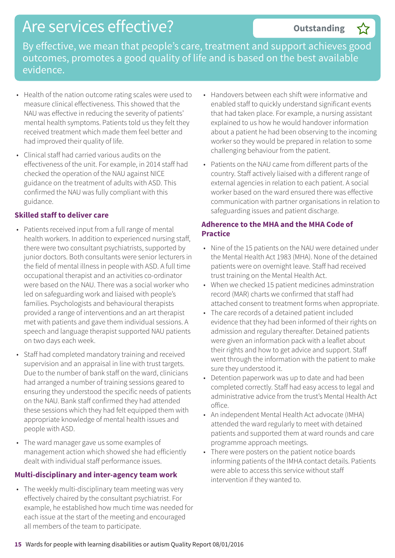### Are services effective?

#### **Outstanding –**

By effective, we mean that people's care, treatment and support achieves good outcomes, promotes a good quality of life and is based on the best available evidence.

- Health of the nation outcome rating scales were used to measure clinical effectiveness. This showed that the NAU was effective in reducing the severity of patients' mental health symptoms. Patients told us they felt they received treatment which made them feel better and had improved their quality of life.
- Clinical staff had carried various audits on the effectiveness of the unit. For example, in 2014 staff had checked the operation of the NAU against NICE guidance on the treatment of adults with ASD. This confirmed the NAU was fully compliant with this guidance.

#### **Skilled staff to deliver care**

- Patients received input from a full range of mental health workers. In addition to experienced nursing staff, there were two consultant psychiatrists, supported by junior doctors. Both consultants were senior lecturers in the field of mental illness in people with ASD. A full time occupational therapist and an activities co-ordinator were based on the NAU. There was a social worker who led on safeguarding work and liaised with people's families. Psychologists and behavioural therapists provided a range of interventions and an art therapist met with patients and gave them individual sessions. A speech and language therapist supported NAU patients on two days each week.
- Staff had completed mandatory training and received supervision and an appraisal in line with trust targets. Due to the number of bank staff on the ward, clinicians had arranged a number of training sessions geared to ensuring they understood the specific needs of patients on the NAU. Bank staff confirmed they had attended these sessions which they had felt equipped them with appropriate knowledge of mental health issues and people with ASD.
- The ward manager gave us some examples of management action which showed she had efficiently dealt with individual staff performance issues.

#### **Multi-disciplinary and inter-agency team work**

• The weekly multi-disciplinary team meeting was very effectively chaired by the consultant psychiatrist. For example, he established how much time was needed for each issue at the start of the meeting and encouraged all members of the team to participate.

- Handovers between each shift were informative and enabled staff to quickly understand significant events that had taken place. For example, a nursing assistant explained to us how he would handover information about a patient he had been observing to the incoming worker so they would be prepared in relation to some challenging behaviour from the patient.
- Patients on the NAU came from different parts of the country. Staff actively liaised with a different range of external agencies in relation to each patient. A social worker based on the ward ensured there was effective communication with partner organisations in relation to safeguarding issues and patient discharge.

#### **Adherence to the MHA and the MHA Code of Practice**

- Nine of the 15 patients on the NAU were detained under the Mental Health Act 1983 (MHA). None of the detained patients were on overnight leave. Staff had received trust training on the Mental Health Act.
- When we checked 15 patient medicines adminstration record (MAR) charts we confirmed that staff had attached consent to treatment forms when appropriate.
- The care records of a detained patient included evidence that they had been informed of their rights on admission and regulary thereafter. Detained patients were given an information pack with a leaflet about their rights and how to get advice and support. Staff went through the information with the patient to make sure they understood it.
- Detention paperwork was up to date and had been completed correctly. Staff had easy access to legal and administrative advice from the trust's Mental Health Act office.
- An independent Mental Health Act advocate (IMHA) attended the ward regularly to meet with detained patients and supported them at ward rounds and care programme approach meetings.
- There were posters on the patient notice boards informing patients of the IMHA contact details. Patients were able to access this service without staff intervention if they wanted to.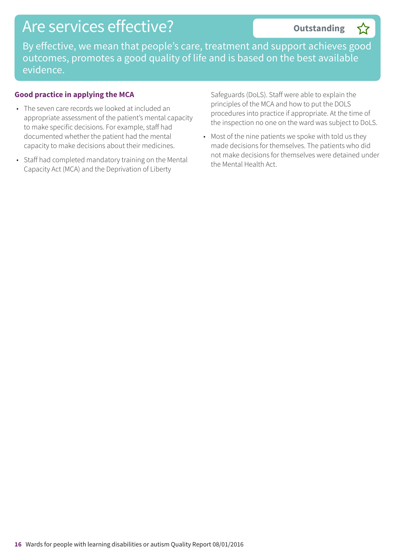### Are services effective?

#### **Outstanding –**

By effective, we mean that people's care, treatment and support achieves good outcomes, promotes a good quality of life and is based on the best available evidence.

#### **Good practice in applying the MCA**

- The seven care records we looked at included an appropriate assessment of the patient's mental capacity to make specific decisions. For example, staff had documented whether the patient had the mental capacity to make decisions about their medicines.
- Staff had completed mandatory training on the Mental Capacity Act (MCA) and the Deprivation of Liberty

Safeguards (DoLS). Staff were able to explain the principles of the MCA and how to put the DOLS procedures into practice if appropriate. At the time of the inspection no one on the ward was subject to DoLS.

• Most of the nine patients we spoke with told us they made decisions for themselves. The patients who did not make decisions for themselves were detained under the Mental Health Act.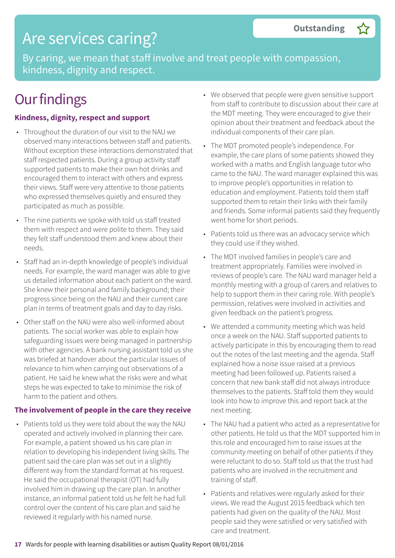### Are services caring?

By caring, we mean that staff involve and treat people with compassion, kindness, dignity and respect.

## **Our findings**

#### **Kindness, dignity, respect and support**

- Throughout the duration of our visit to the NAU we observed many interactions between staff and patients. Without exception these interactions demonstrated that staff respected patients. During a group activity staff supported patients to make their own hot drinks and encouraged them to interact with others and express their views. Staff were very attentive to those patients who expressed themselves quietly and ensured they participated as much as possible.
- The nine patients we spoke with told us staff treated them with respect and were polite to them. They said they felt staff understood them and knew about their needs.
- Staff had an in-depth knowledge of people's individual needs. For example, the ward manager was able to give us detailed information about each patient on the ward. She knew their personal and family background; their progress since being on the NAU and their current care plan in terms of treatment goals and day to day risks.
- Other staff on the NAU were also well-informed about patients. The social worker was able to explain how safeguarding issues were being managed in partnership with other agencies. A bank nursing assistant told us she was briefed at handover about the particular issues of relevance to him when carrying out observations of a patient. He said he knew what the risks were and what steps he was expected to take to minimise the risk of harm to the patient and others.

#### **The involvement of people in the care they receive**

• Patients told us they were told about the way the NAU operated and actively involved in planning their care. For example, a patient showed us his care plan in relation to developing his independent living skills. The patient said the care plan was set out in a slightly different way from the standard format at his request. He said the occupational therapist (OT) had fully involved him in drawing up the care plan. In another instance, an informal patient told us he felt he had full control over the content of his care plan and said he reviewed it regularly with his named nurse.

- We observed that people were given sensitive support from staff to contribute to discussion about their care at the MDT meeting. They were encouraged to give their opinion about their treatment and feedback about the individual components of their care plan.
- The MDT promoted people's independence. For example, the care plans of some patients showed they worked with a maths and English language tutor who came to the NAU. The ward manager explained this was to improve people's opportunities in relation to education and employment. Patients told them staff supported them to retain their links with their family and friends. Some informal patients said they frequently went home for short periods.
- Patients told us there was an advocacy service which they could use if they wished.
- The MDT involved families in people's care and treatment appropriately. Families were involved in reviews of people's care. The NAU ward manager held a monthly meeting with a group of carers and relatives to help to support them in their caring role. With people's permission, relatives were involved in activities and given feedback on the patient's progress.
- We attended a community meeting which was held once a week on the NAU. Staff supported patients to actively participate in this by encouraging them to read out the notes of the last meeting and the agenda. Staff explained how a noise issue raised at a previous meeting had been followed up. Patients raised a concern that new bank staff did not always introduce themselves to the patients. Staff told them they would look into how to improve this and report back at the next meeting.
- The NAU had a patient who acted as a representative for other patients. He told us that the MDT supported him in this role and encouraged him to raise issues at the community meeting on behalf of other patients if they were reluctant to do so. Staff told us that the trust had patients who are involved in the recruitment and training of staff.
- Patients and relatives were regularly asked for their views. We read the August 2015 feedback which ten patients had given on the quality of the NAU. Most people said they were satisfied or very satisfied with care and treatment.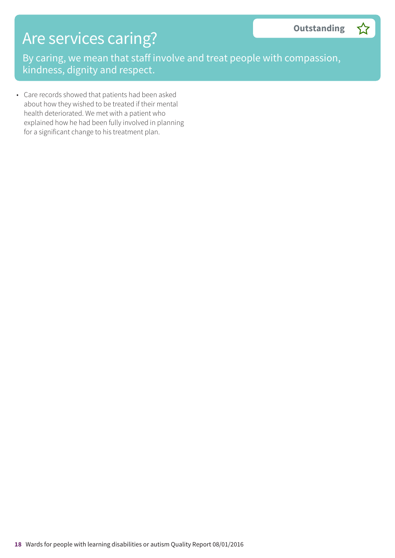## Are services caring?

By caring, we mean that staff involve and treat people with compassion, kindness, dignity and respect.

• Care records showed that patients had been asked about how they wished to be treated if their mental health deteriorated. We met with a patient who explained how he had been fully involved in planning for a significant change to his treatment plan.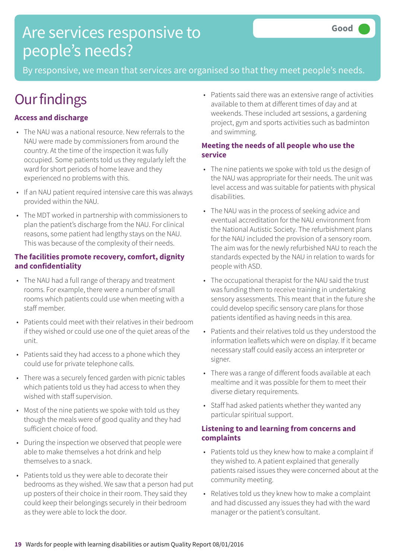## Are services responsive to people's needs?

By responsive, we mean that services are organised so that they meet people's needs.

## **Our findings**

### **Access and discharge**

- The NAU was a national resource. New referrals to the NAU were made by commissioners from around the country. At the time of the inspection it was fully occupied. Some patients told us they regularly left the ward for short periods of home leave and they experienced no problems with this.
- If an NAU patient required intensive care this was always provided within the NAU.
- The MDT worked in partnership with commissioners to plan the patient's discharge from the NAU. For clinical reasons, some patient had lengthy stays on the NAU. This was because of the complexity of their needs.

#### **The facilities promote recovery, comfort, dignity and confidentiality**

- The NAU had a full range of therapy and treatment rooms. For example, there were a number of small rooms which patients could use when meeting with a staff member.
- Patients could meet with their relatives in their bedroom if they wished or could use one of the quiet areas of the unit.
- Patients said they had access to a phone which they could use for private telephone calls.
- There was a securely fenced garden with picnic tables which patients told us they had access to when they wished with staff supervision.
- Most of the nine patients we spoke with told us they though the meals were of good quality and they had sufficient choice of food.
- During the inspection we observed that people were able to make themselves a hot drink and help themselves to a snack.
- Patients told us they were able to decorate their bedrooms as they wished. We saw that a person had put up posters of their choice in their room. They said they could keep their belongings securely in their bedroom as they were able to lock the door.

• Patients said there was an extensive range of activities available to them at different times of day and at weekends. These included art sessions, a gardening project, gym and sports activities such as badminton and swimming.

#### **Meeting the needs of all people who use the service**

- The nine patients we spoke with told us the design of the NAU was appropriate for their needs. The unit was level access and was suitable for patients with physical disabilities.
- The NAU was in the process of seeking advice and eventual accreditation for the NAU environment from the National Autistic Society. The refurbishment plans for the NAU included the provision of a sensory room. The aim was for the newly refurbished NAU to reach the standards expected by the NAU in relation to wards for people with ASD.
- The occupational therapist for the NAU said the trust was funding them to receive training in undertaking sensory assessments. This meant that in the future she could develop specific sensory care plans for those patients identified as having needs in this area.
- Patients and their relatives told us they understood the information leaflets which were on display. If it became necessary staff could easily access an interpreter or signer.
- There was a range of different foods available at each mealtime and it was possible for them to meet their diverse dietary requirements.
- Staff had asked patients whether they wanted any particular spiritual support.

#### **Listening to and learning from concerns and complaints**

- Patients told us they knew how to make a complaint if they wished to. A patient explained that generally patients raised issues they were concerned about at the community meeting.
- Relatives told us they knew how to make a complaint and had discussed any issues they had with the ward manager or the patient's consultant.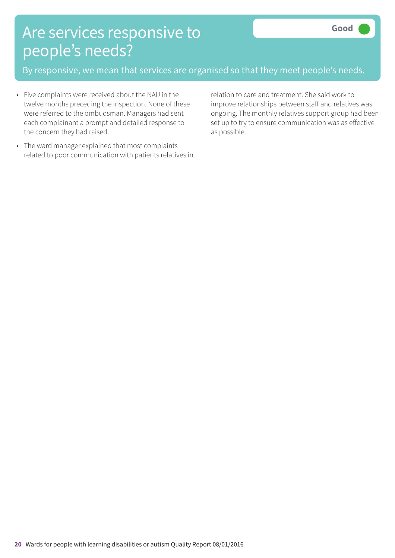## Are services responsive to people's needs?

By responsive, we mean that services are organised so that they meet people's needs.

- Five complaints were received about the NAU in the twelve months preceding the inspection. None of these were referred to the ombudsman. Managers had sent each complainant a prompt and detailed response to the concern they had raised.
- The ward manager explained that most complaints related to poor communication with patients relatives in

relation to care and treatment. She said work to improve relationships between staff and relatives was ongoing. The monthly relatives support group had been set up to try to ensure communication was as effective as possible.